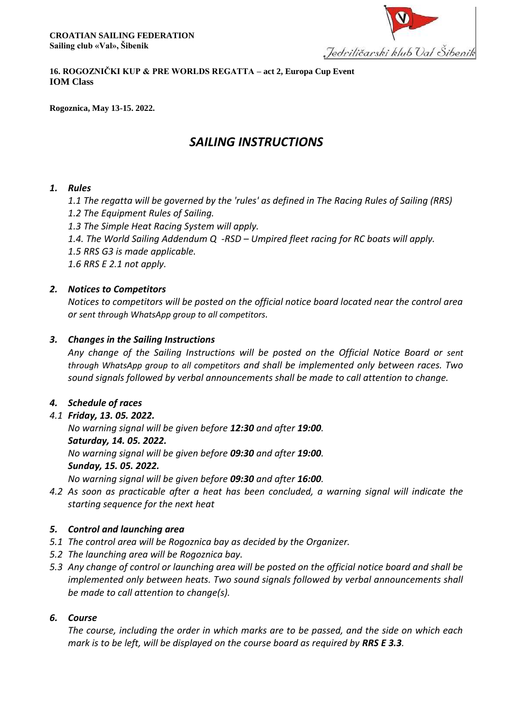

#### **16. ROGOZNIČKI KUP & PRE WORLDS REGATTA – act 2, Europa Cup Event IOM Class**

**Rogoznica, May 13-15. 2022.**

# *SAILING INSTRUCTIONS*

#### *1. Rules*

*1.1 The regatta will be governed by the 'rules' as defined in The Racing Rules of Sailing (RRS) 1.2 The Equipment Rules of Sailing.*

*1.3 The Simple Heat Racing System will apply.*

*1.4. The World Sailing Addendum Q -RSD – Umpired fleet racing for RC boats will apply.*

*1.5 RRS G3 is made applicable.* 

*1.6 RRS E 2.1 not apply.*

### *2. Notices to Competitors*

*Notices to competitors will be posted on the official notice board located near the control area or sent through WhatsApp group to all competitors.*

### *3. Changes in the Sailing Instructions*

*Any change of the Sailing Instructions will be posted on the Official Notice Board or sent through WhatsApp group to all competitors and shall be implemented only between races. Two sound signals followed by verbal announcements shall be made to call attention to change.* 

### *4. Schedule of races*

#### *4.1 Friday, 13. 05. 2022.*

*No warning signal will be given before 12:30 and after 19:00. Saturday, 14. 05. 2022. No warning signal will be given before 09:30 and after 19:00. Sunday, 15. 05. 2022. No warning signal will be given before 09:30 and after 16:00.*

*4.2 As soon as practicable after a heat has been concluded, a warning signal will indicate the starting sequence for the next heat*

### *5. Control and launching area*

- *5.1 The control area will be Rogoznica bay as decided by the Organizer.*
- *5.2 The launching area will be Rogoznica bay.*
- *5.3 Any change of control or launching area will be posted on the official notice board and shall be implemented only between heats. Two sound signals followed by verbal announcements shall be made to call attention to change(s).*

### *6. Course*

*The course, including the order in which marks are to be passed, and the side on which each mark is to be left, will be displayed on the course board as required by RRS E 3.3.*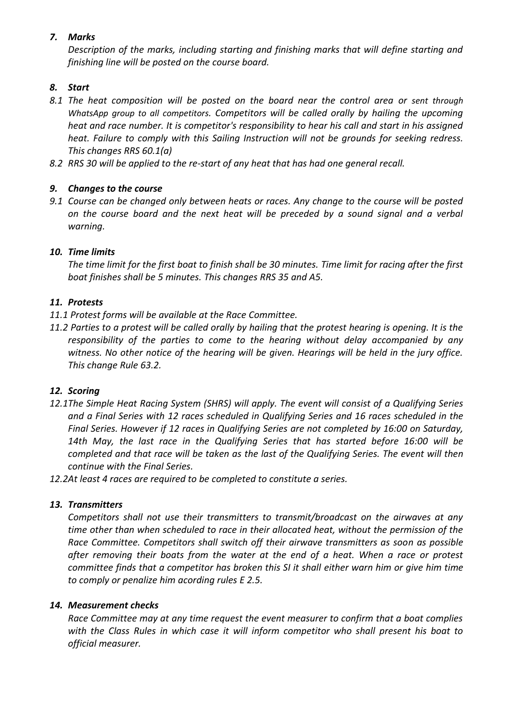## *7. Marks*

*Description of the marks, including starting and finishing marks that will define starting and finishing line will be posted on the course board.*

# *8. Start*

- *8.1 The heat composition will be posted on the board near the control area or sent through WhatsApp group to all competitors. Competitors will be called orally by hailing the upcoming heat and race number. It is competitor's responsibility to hear his call and start in his assigned heat. Failure to comply with this Sailing Instruction will not be grounds for seeking redress. This changes RRS 60.1(a)*
- *8.2 RRS 30 will be applied to the re-start of any heat that has had one general recall.*

# *9. Changes to the course*

*9.1 Course can be changed only between heats or races. Any change to the course will be posted on the course board and the next heat will be preceded by a sound signal and a verbal warning.* 

# *10. Time limits*

*The time limit for the first boat to finish shall be 30 minutes. Time limit for racing after the first boat finishes shall be 5 minutes. This changes RRS 35 and A5.*

### *11. Protests*

- *11.1 Protest forms will be available at the Race Committee.*
- *11.2 Parties to a protest will be called orally by hailing that the protest hearing is opening. It is the responsibility of the parties to come to the hearing without delay accompanied by any witness. No other notice of the hearing will be given. Hearings will be held in the jury office. This change Rule 63.2.*

### *12. Scoring*

- *12.1The Simple Heat Racing System (SHRS) will apply. The event will consist of a Qualifying Series and a Final Series with 12 races scheduled in Qualifying Series and 16 races scheduled in the Final Series. However if 12 races in Qualifying Series are not completed by 16:00 on Saturday, 14th May, the last race in the Qualifying Series that has started before 16:00 will be completed and that race will be taken as the last of the Qualifying Series. The event will then continue with the Final Series.*
- *12.2At least 4 races are required to be completed to constitute a series.*

### *13. Transmitters*

*Competitors shall not use their transmitters to transmit/broadcast on the airwaves at any time other than when scheduled to race in their allocated heat, without the permission of the Race Committee. Competitors shall switch off their airwave transmitters as soon as possible after removing their boats from the water at the end of a heat. When a race or protest committee finds that a competitor has broken this SI it shall either warn him or give him time to comply or penalize him acording rules E 2.5.*

### *14. Measurement checks*

*Race Committee may at any time request the event measurer to confirm that a boat complies*  with the Class Rules in which case it will inform competitor who shall present his boat to *official measurer.*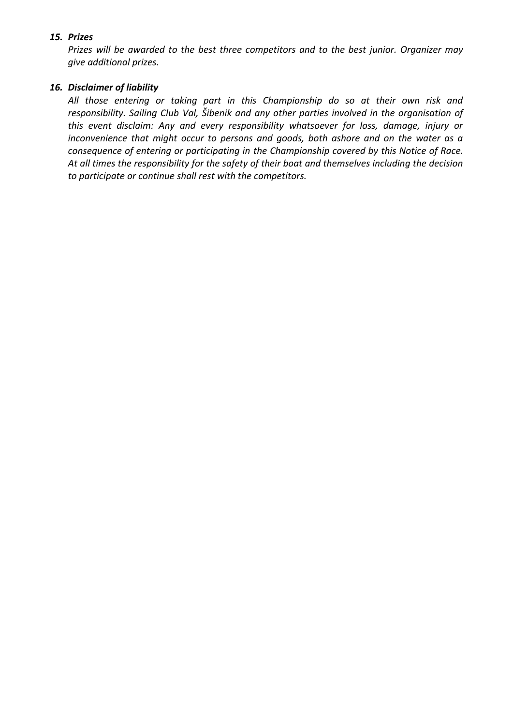#### *15. Prizes*

*Prizes will be awarded to the best three competitors and to the best junior. Organizer may give additional prizes.*

#### *16. Disclaimer of liability*

*All those entering or taking part in this Championship do so at their own risk and responsibility. Sailing Club Val, Šibenik and any other parties involved in the organisation of this event disclaim: Any and every responsibility whatsoever for loss, damage, injury or inconvenience that might occur to persons and goods, both ashore and on the water as a consequence of entering or participating in the Championship covered by this Notice of Race. At all times the responsibility for the safety of their boat and themselves including the decision to participate or continue shall rest with the competitors.*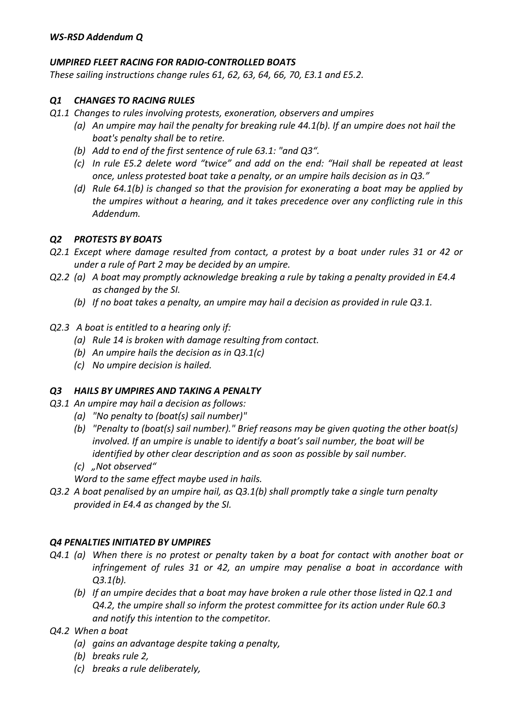# *UMPIRED FLEET RACING FOR RADIO-CONTROLLED BOATS*

*These sailing instructions change rules 61, 62, 63, 64, 66, 70, E3.1 and E5.2.*

## *Q1 CHANGES TO RACING RULES*

- *Q1.1 Changes to rules involving protests, exoneration, observers and umpires*
	- *(a) An umpire may hail the penalty for breaking rule 44.1(b). If an umpire does not hail the boat's penalty shall be to retire.*
	- *(b) Add to end of the first sentence of rule 63.1: "and Q3".*
	- *(c) In rule E5.2 delete word "twice" and add on the end: "Hail shall be repeated at least once, unless protested boat take a penalty, or an umpire hails decision as in Q3."*
	- *(d) Rule 64.1(b) is changed so that the provision for exonerating a boat may be applied by the umpires without a hearing, and it takes precedence over any conflicting rule in this Addendum.*

# *Q2 PROTESTS BY BOATS*

- *Q2.1 Except where damage resulted from contact, a protest by a boat under rules 31 or 42 or under a rule of Part 2 may be decided by an umpire.*
- *Q2.2 (a) A boat may promptly acknowledge breaking a rule by taking a penalty provided in E4.4 as changed by the SI.*
	- *(b) If no boat takes a penalty, an umpire may hail a decision as provided in rule Q3.1.*
- *Q2.3 A boat is entitled to a hearing only if:*
	- *(a) Rule 14 is broken with damage resulting from contact.*
	- *(b) An umpire hails the decision as in Q3.1(c)*
	- *(c) No umpire decision is hailed.*

### *Q3 HAILS BY UMPIRES AND TAKING A PENALTY*

- *Q3.1 An umpire may hail a decision as follows:*
	- *(a) "No penalty to (boat(s) sail number)"*
	- *(b) "Penalty to (boat(s) sail number)." Brief reasons may be given quoting the other boat(s) involved. If an umpire is unable to identify a boat's sail number, the boat will be identified by other clear description and as soon as possible by sail number.*
	- *(c) "Not observed"*

*Word to the same effect maybe used in hails.*

*Q3.2 A boat penalised by an umpire hail, as Q3.1(b) shall promptly take a single turn penalty provided in E4.4 as changed by the SI.*

### *Q4 PENALTIES INITIATED BY UMPIRES*

- *Q4.1 (a) When there is no protest or penalty taken by a boat for contact with another boat or infringement of rules 31 or 42, an umpire may penalise a boat in accordance with Q3.1(b).*
	- *(b) If an umpire decides that a boat may have broken a rule other those listed in Q2.1 and Q4.2, the umpire shall so inform the protest committee for its action under Rule 60.3 and notify this intention to the competitor.*
- *Q4.2 When a boat*
	- *(a) gains an advantage despite taking a penalty,*
	- *(b) breaks rule 2,*
	- *(c) breaks a rule deliberately,*